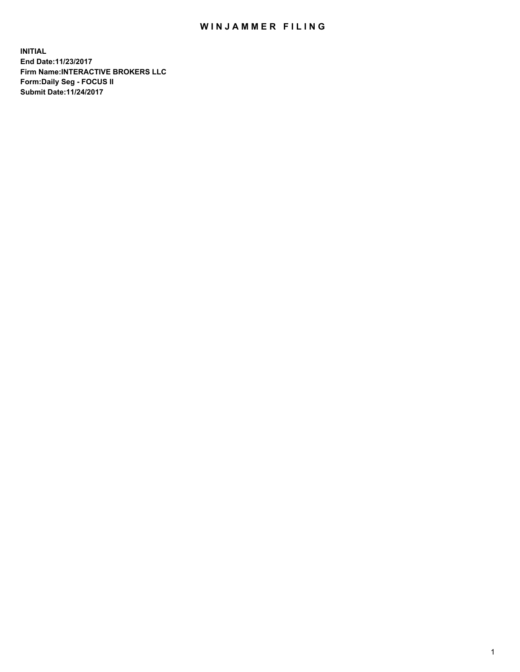## WIN JAMMER FILING

**INITIAL End Date:11/23/2017 Firm Name:INTERACTIVE BROKERS LLC Form:Daily Seg - FOCUS II Submit Date:11/24/2017**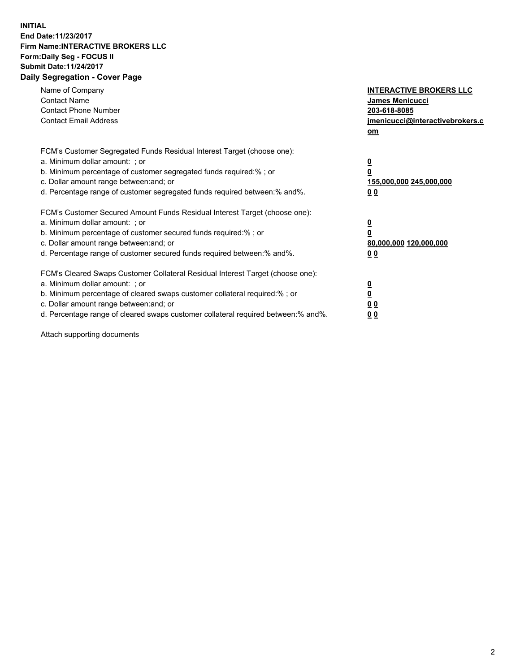## **INITIAL End Date:11/23/2017 Firm Name:INTERACTIVE BROKERS LLC Form:Daily Seg - FOCUS II Submit Date:11/24/2017 Daily Segregation - Cover Page**

| Name of Company<br><b>Contact Name</b><br><b>Contact Phone Number</b><br><b>Contact Email Address</b>                                                                                                                                                                                                                          | <b>INTERACTIVE BROKERS LLC</b><br><b>James Menicucci</b><br>203-618-8085<br><u>jmenicucci@interactivebrokers.c</u><br>om |
|--------------------------------------------------------------------------------------------------------------------------------------------------------------------------------------------------------------------------------------------------------------------------------------------------------------------------------|--------------------------------------------------------------------------------------------------------------------------|
| FCM's Customer Segregated Funds Residual Interest Target (choose one):<br>a. Minimum dollar amount: ; or<br>b. Minimum percentage of customer segregated funds required:%; or<br>c. Dollar amount range between: and; or<br>d. Percentage range of customer segregated funds required between:% and%.                          | <u>0</u><br>0<br><u>155,000,000 245,000,000</u><br>0 <sub>0</sub>                                                        |
| FCM's Customer Secured Amount Funds Residual Interest Target (choose one):<br>a. Minimum dollar amount: ; or<br>b. Minimum percentage of customer secured funds required:%; or<br>c. Dollar amount range between: and; or<br>d. Percentage range of customer secured funds required between:% and%.                            | $\overline{\mathbf{0}}$<br>0<br>80,000,000 120,000,000<br>0 <sub>0</sub>                                                 |
| FCM's Cleared Swaps Customer Collateral Residual Interest Target (choose one):<br>a. Minimum dollar amount: ; or<br>b. Minimum percentage of cleared swaps customer collateral required:% ; or<br>c. Dollar amount range between: and; or<br>d. Percentage range of cleared swaps customer collateral required between:% and%. | $\underline{\mathbf{0}}$<br>$\overline{\mathbf{0}}$<br>0 <sub>0</sub><br><u>00</u>                                       |

Attach supporting documents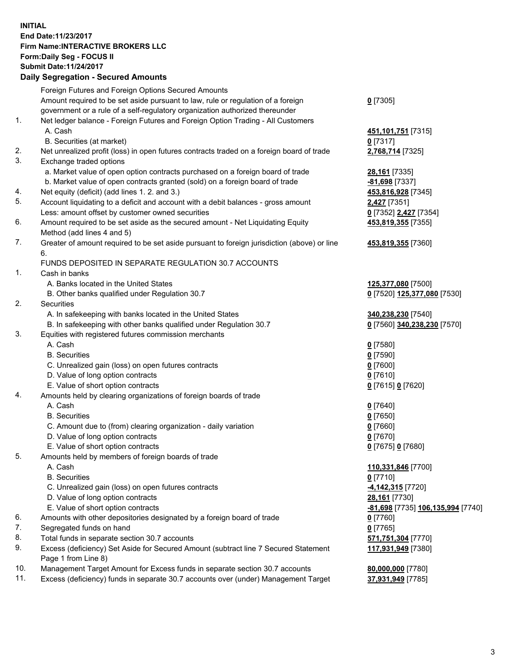## **INITIAL End Date:11/23/2017 Firm Name:INTERACTIVE BROKERS LLC Form:Daily Seg - FOCUS II Submit Date:11/24/2017 Daily Segregation - Secured Amounts**

|     | Daily Segregation - Secured Amounts                                                         |                                   |
|-----|---------------------------------------------------------------------------------------------|-----------------------------------|
|     | Foreign Futures and Foreign Options Secured Amounts                                         |                                   |
|     | Amount required to be set aside pursuant to law, rule or regulation of a foreign            | $0$ [7305]                        |
|     | government or a rule of a self-regulatory organization authorized thereunder                |                                   |
| 1.  | Net ledger balance - Foreign Futures and Foreign Option Trading - All Customers             |                                   |
|     | A. Cash                                                                                     | 451, 101, 751 [7315]              |
|     | B. Securities (at market)                                                                   | $0$ [7317]                        |
| 2.  | Net unrealized profit (loss) in open futures contracts traded on a foreign board of trade   | 2,768,714 [7325]                  |
| 3.  | Exchange traded options                                                                     |                                   |
|     | a. Market value of open option contracts purchased on a foreign board of trade              | <b>28,161</b> [7335]              |
|     | b. Market value of open contracts granted (sold) on a foreign board of trade                | -81,698 [7337]                    |
| 4.  | Net equity (deficit) (add lines 1.2. and 3.)                                                | 453,816,928 [7345]                |
| 5.  | Account liquidating to a deficit and account with a debit balances - gross amount           | 2,427 [7351]                      |
|     | Less: amount offset by customer owned securities                                            | 0 [7352] 2,427 [7354]             |
| 6.  | Amount required to be set aside as the secured amount - Net Liquidating Equity              | 453,819,355 [7355]                |
|     | Method (add lines 4 and 5)                                                                  |                                   |
| 7.  | Greater of amount required to be set aside pursuant to foreign jurisdiction (above) or line | 453,819,355 [7360]                |
|     | 6.                                                                                          |                                   |
|     | FUNDS DEPOSITED IN SEPARATE REGULATION 30.7 ACCOUNTS                                        |                                   |
| 1.  | Cash in banks                                                                               |                                   |
|     | A. Banks located in the United States                                                       | 125,377,080 [7500]                |
|     | B. Other banks qualified under Regulation 30.7                                              | 0 [7520] 125,377,080 [7530]       |
| 2.  | Securities                                                                                  |                                   |
|     | A. In safekeeping with banks located in the United States                                   | 340,238,230 [7540]                |
|     | B. In safekeeping with other banks qualified under Regulation 30.7                          | 0 [7560] 340,238,230 [7570]       |
| 3.  | Equities with registered futures commission merchants                                       |                                   |
|     | A. Cash                                                                                     | $0$ [7580]                        |
|     | <b>B.</b> Securities                                                                        | $0$ [7590]                        |
|     | C. Unrealized gain (loss) on open futures contracts                                         | $0$ [7600]                        |
|     | D. Value of long option contracts                                                           | $0$ [7610]                        |
|     | E. Value of short option contracts                                                          | 0 [7615] 0 [7620]                 |
| 4.  | Amounts held by clearing organizations of foreign boards of trade                           |                                   |
|     | A. Cash                                                                                     | $0$ [7640]                        |
|     | <b>B.</b> Securities                                                                        | $0$ [7650]                        |
|     | C. Amount due to (from) clearing organization - daily variation                             | $0$ [7660]                        |
|     | D. Value of long option contracts                                                           | $0$ [7670]                        |
|     | E. Value of short option contracts                                                          | 0 [7675] 0 [7680]                 |
| 5.  | Amounts held by members of foreign boards of trade                                          |                                   |
|     | A. Cash                                                                                     | 110,331,846 [7700]                |
|     | <b>B.</b> Securities                                                                        | $0$ [7710]                        |
|     | C. Unrealized gain (loss) on open futures contracts                                         | -4,142,315 [7720]                 |
|     | D. Value of long option contracts                                                           | 28,161 [7730]                     |
|     | E. Value of short option contracts                                                          | -81,698 [7735] 106,135,994 [7740] |
| 6.  | Amounts with other depositories designated by a foreign board of trade                      | 0 [7760]                          |
| 7.  | Segregated funds on hand                                                                    | $0$ [7765]                        |
| 8.  | Total funds in separate section 30.7 accounts                                               | 571,751,304 [7770]                |
| 9.  | Excess (deficiency) Set Aside for Secured Amount (subtract line 7 Secured Statement         | 117,931,949 [7380]                |
|     | Page 1 from Line 8)                                                                         |                                   |
| 10. | Management Target Amount for Excess funds in separate section 30.7 accounts                 | 80,000,000 [7780]                 |
| 11. | Excess (deficiency) funds in separate 30.7 accounts over (under) Management Target          | 37,931,949 [7785]                 |
|     |                                                                                             |                                   |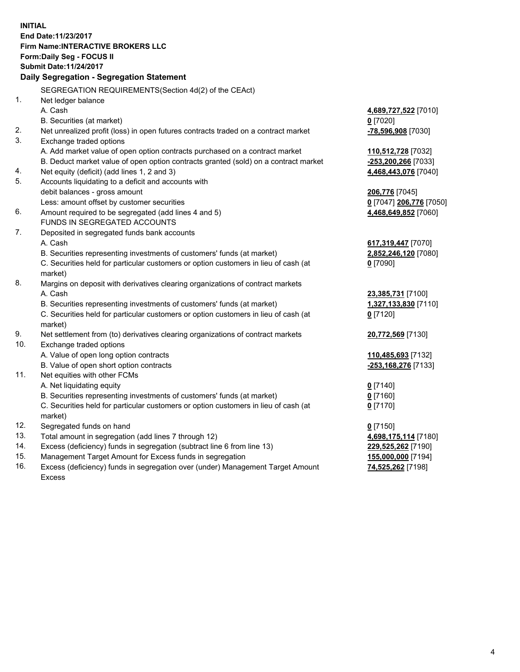**INITIAL End Date:11/23/2017 Firm Name:INTERACTIVE BROKERS LLC Form:Daily Seg - FOCUS II Submit Date:11/24/2017 Daily Segregation - Segregation Statement** SEGREGATION REQUIREMENTS(Section 4d(2) of the CEAct) 1. Net ledger balance A. Cash **4,689,727,522** [7010] B. Securities (at market) **0** [7020] 2. Net unrealized profit (loss) in open futures contracts traded on a contract market **-78,596,908** [7030] 3. Exchange traded options A. Add market value of open option contracts purchased on a contract market **110,512,728** [7032] B. Deduct market value of open option contracts granted (sold) on a contract market **-253,200,266** [7033] 4. Net equity (deficit) (add lines 1, 2 and 3) **4,468,443,076** [7040] 5. Accounts liquidating to a deficit and accounts with debit balances - gross amount **206,776** [7045] Less: amount offset by customer securities **0** [7047] **206,776** [7050] 6. Amount required to be segregated (add lines 4 and 5) **4,468,649,852** [7060] FUNDS IN SEGREGATED ACCOUNTS 7. Deposited in segregated funds bank accounts A. Cash **617,319,447** [7070] B. Securities representing investments of customers' funds (at market) **2,852,246,120** [7080] C. Securities held for particular customers or option customers in lieu of cash (at market) **0** [7090] 8. Margins on deposit with derivatives clearing organizations of contract markets A. Cash **23,385,731** [7100] B. Securities representing investments of customers' funds (at market) **1,327,133,830** [7110] C. Securities held for particular customers or option customers in lieu of cash (at market) **0** [7120] 9. Net settlement from (to) derivatives clearing organizations of contract markets **20,772,569** [7130] 10. Exchange traded options A. Value of open long option contracts **110,485,693** [7132] B. Value of open short option contracts **-253,168,276** [7133] 11. Net equities with other FCMs A. Net liquidating equity **0** [7140] B. Securities representing investments of customers' funds (at market) **0** [7160] C. Securities held for particular customers or option customers in lieu of cash (at market) **0** [7170] 12. Segregated funds on hand **0** [7150] 13. Total amount in segregation (add lines 7 through 12) **4,698,175,114** [7180] 14. Excess (deficiency) funds in segregation (subtract line 6 from line 13) **229,525,262** [7190] 15. Management Target Amount for Excess funds in segregation **155,000,000** [7194] **74,525,262** [7198]

16. Excess (deficiency) funds in segregation over (under) Management Target Amount Excess